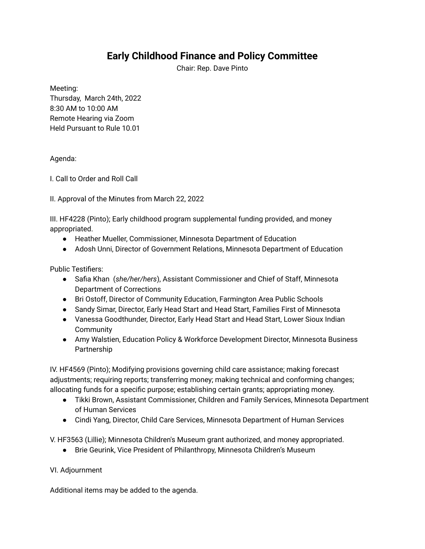## **Early Childhood Finance and Policy Committee**

Chair: Rep. Dave Pinto

Meeting:

Thursday, March 24th, 2022 8:30 AM to 10:00 AM Remote Hearing via Zoom Held Pursuant to Rule 10.01

## Agenda:

I. Call to Order and Roll Call

II. Approval of the Minutes from March 22, 2022

III. HF4228 (Pinto); Early childhood program supplemental funding provided, and money appropriated.

- Heather Mueller, Commissioner, Minnesota Department of Education
- Adosh Unni, Director of Government Relations, Minnesota Department of Education

Public Testifiers:

- Safia Khan (*she/her/hers*), Assistant Commissioner and Chief of Staff, Minnesota Department of Corrections
- Bri Ostoff, Director of Community Education, Farmington Area Public Schools
- Sandy Simar, Director, Early Head Start and Head Start, Families First of Minnesota
- Vanessa Goodthunder, Director, Early Head Start and Head Start, Lower Sioux Indian **Community**
- Amy Walstien, Education Policy & Workforce Development Director, Minnesota Business Partnership

IV. HF4569 (Pinto); Modifying provisions governing child care assistance; making forecast adjustments; requiring reports; transferring money; making technical and conforming changes; allocating funds for a specific purpose; establishing certain grants; appropriating money.

- Tikki Brown, Assistant Commissioner, Children and Family Services, Minnesota Department of Human Services
- Cindi Yang, Director, Child Care Services, Minnesota Department of Human Services

V. HF3563 (Lillie); Minnesota Children's Museum grant authorized, and money appropriated.

● Brie Geurink, Vice President of Philanthropy, Minnesota Children's Museum

## VI. Adjournment

Additional items may be added to the agenda.